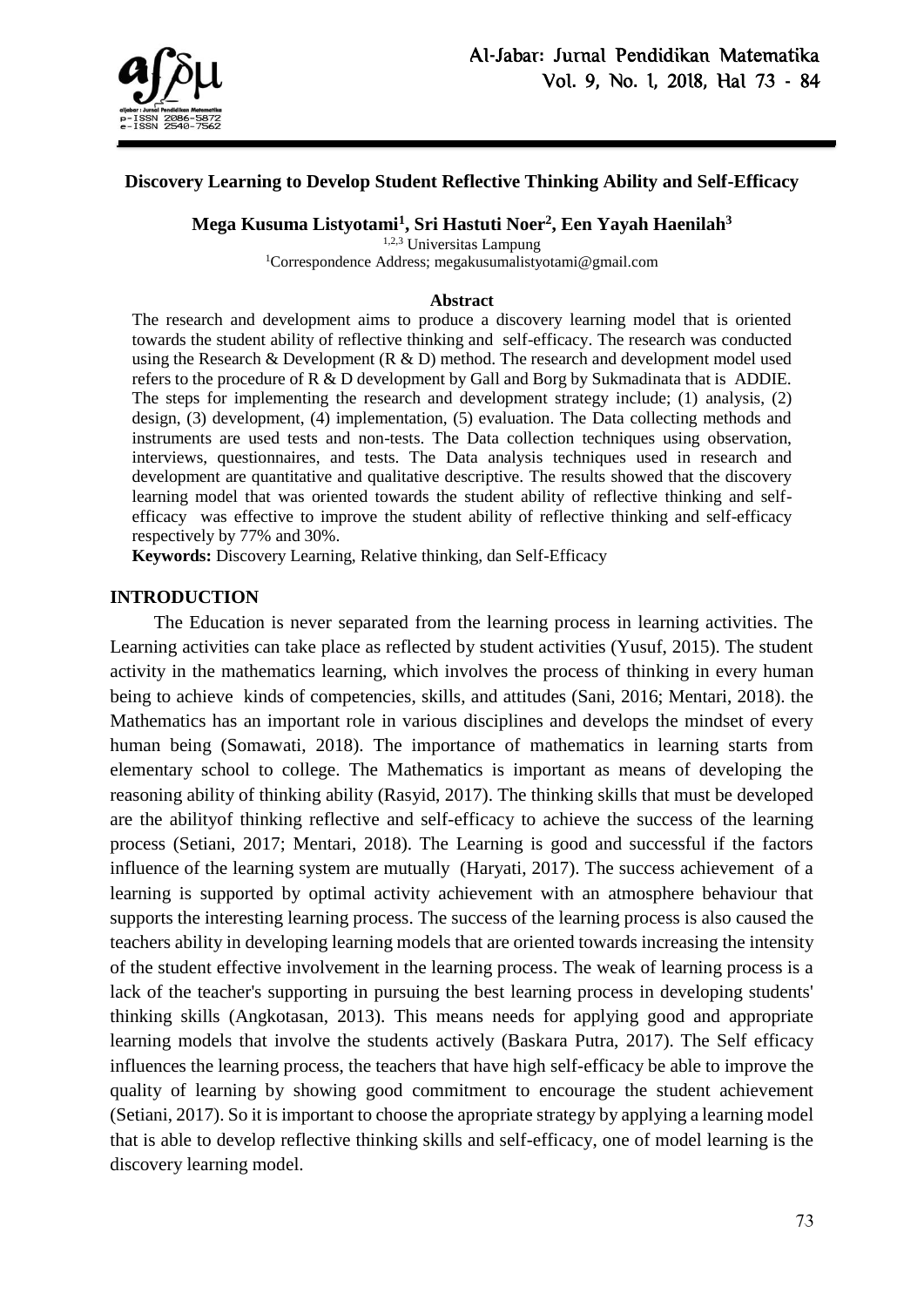

## **Discovery Learning to Develop Student Reflective Thinking Ability and Self-Efficacy**

**Mega Kusuma Listyotami<sup>1</sup> , Sri Hastuti Noer<sup>2</sup> , Een Yayah Haenilah<sup>3</sup>**

1,2,3 Universitas Lampung

<sup>1</sup>Correspondence Address; megakusumalistyotami@gmail.com

#### **Abstract**

The research and development aims to produce a discovery learning model that is oriented towards the student ability of reflective thinking and self-efficacy. The research was conducted using the Research & Development (R & D) method. The research and development model used refers to the procedure of R & D development by Gall and Borg by Sukmadinata that is ADDIE. The steps for implementing the research and development strategy include; (1) analysis, (2) design, (3) development, (4) implementation, (5) evaluation. The Data collecting methods and instruments are used tests and non-tests. The Data collection techniques using observation, interviews, questionnaires, and tests. The Data analysis techniques used in research and development are quantitative and qualitative descriptive. The results showed that the discovery learning model that was oriented towards the student ability of reflective thinking and selfefficacy was effective to improve the student ability of reflective thinking and self-efficacy respectively by 77% and 30%.

**Keywords:** Discovery Learning, Relative thinking, dan Self-Efficacy

#### **INTRODUCTION**

The Education is never separated from the learning process in learning activities. The Learning activities can take place as reflected by student activities (Yusuf, 2015). The student activity in the mathematics learning, which involves the process of thinking in every human being to achieve kinds of competencies, skills, and attitudes (Sani, 2016; Mentari, 2018). the Mathematics has an important role in various disciplines and develops the mindset of every human being (Somawati, 2018). The importance of mathematics in learning starts from elementary school to college. The Mathematics is important as means of developing the reasoning ability of thinking ability (Rasyid, 2017). The thinking skills that must be developed are the abilityof thinking reflective and self-efficacy to achieve the success of the learning process (Setiani, 2017; Mentari, 2018). The Learning is good and successful if the factors influence of the learning system are mutually (Haryati, 2017). The success achievement of a learning is supported by optimal activity achievement with an atmosphere behaviour that supports the interesting learning process. The success of the learning process is also caused the teachers ability in developing learning models that are oriented towards increasing the intensity of the student effective involvement in the learning process. The weak of learning process is a lack of the teacher's supporting in pursuing the best learning process in developing students' thinking skills (Angkotasan, 2013). This means needs for applying good and appropriate learning models that involve the students actively (Baskara Putra, 2017). The Self efficacy influences the learning process, the teachers that have high self-efficacy be able to improve the quality of learning by showing good commitment to encourage the student achievement (Setiani, 2017). So it is important to choose the apropriate strategy by applying a learning model that is able to develop reflective thinking skills and self-efficacy, one of model learning is the discovery learning model.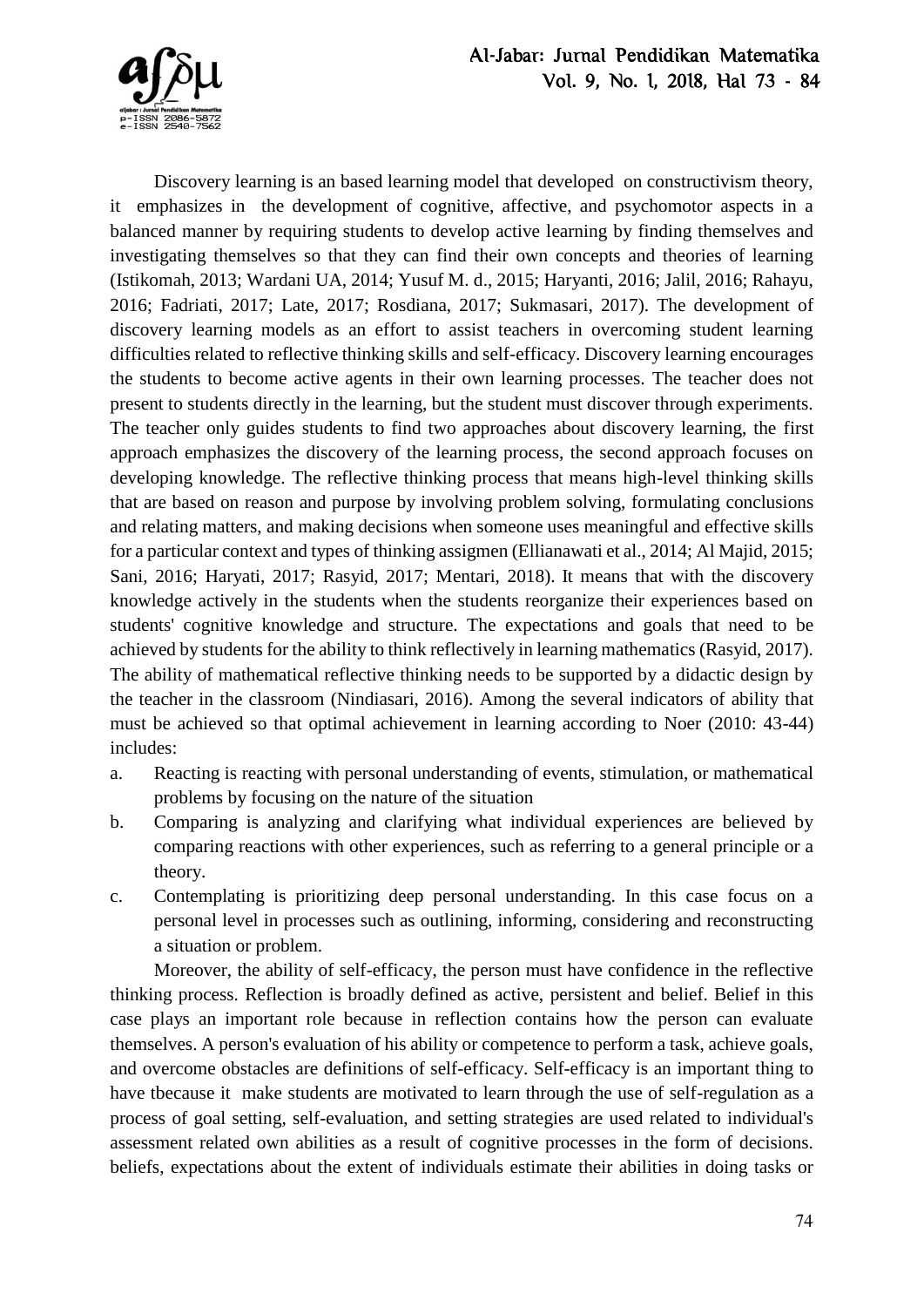

Discovery learning is an based learning model that developed on constructivism theory, it emphasizes in the development of cognitive, affective, and psychomotor aspects in a balanced manner by requiring students to develop active learning by finding themselves and investigating themselves so that they can find their own concepts and theories of learning (Istikomah, 2013; Wardani UA, 2014; Yusuf M. d., 2015; Haryanti, 2016; Jalil, 2016; Rahayu, 2016; Fadriati, 2017; Late, 2017; Rosdiana, 2017; Sukmasari, 2017). The development of discovery learning models as an effort to assist teachers in overcoming student learning difficulties related to reflective thinking skills and self-efficacy. Discovery learning encourages the students to become active agents in their own learning processes. The teacher does not present to students directly in the learning, but the student must discover through experiments. The teacher only guides students to find two approaches about discovery learning, the first approach emphasizes the discovery of the learning process, the second approach focuses on developing knowledge. The reflective thinking process that means high-level thinking skills that are based on reason and purpose by involving problem solving, formulating conclusions and relating matters, and making decisions when someone uses meaningful and effective skills for a particular context and types of thinking assigmen (Ellianawati et al., 2014; Al Majid, 2015; Sani, 2016; Haryati, 2017; Rasyid, 2017; Mentari, 2018). It means that with the discovery knowledge actively in the students when the students reorganize their experiences based on students' cognitive knowledge and structure. The expectations and goals that need to be achieved by students for the ability to think reflectively in learning mathematics (Rasyid, 2017). The ability of mathematical reflective thinking needs to be supported by a didactic design by the teacher in the classroom (Nindiasari, 2016). Among the several indicators of ability that must be achieved so that optimal achievement in learning according to Noer (2010: 43-44) includes:

- a. Reacting is reacting with personal understanding of events, stimulation, or mathematical problems by focusing on the nature of the situation
- b. Comparing is analyzing and clarifying what individual experiences are believed by comparing reactions with other experiences, such as referring to a general principle or a theory.
- c. Contemplating is prioritizing deep personal understanding. In this case focus on a personal level in processes such as outlining, informing, considering and reconstructing a situation or problem.

Moreover, the ability of self-efficacy, the person must have confidence in the reflective thinking process. Reflection is broadly defined as active, persistent and belief. Belief in this case plays an important role because in reflection contains how the person can evaluate themselves. A person's evaluation of his ability or competence to perform a task, achieve goals, and overcome obstacles are definitions of self-efficacy. Self-efficacy is an important thing to have tbecause it make students are motivated to learn through the use of self-regulation as a process of goal setting, self-evaluation, and setting strategies are used related to individual's assessment related own abilities as a result of cognitive processes in the form of decisions. beliefs, expectations about the extent of individuals estimate their abilities in doing tasks or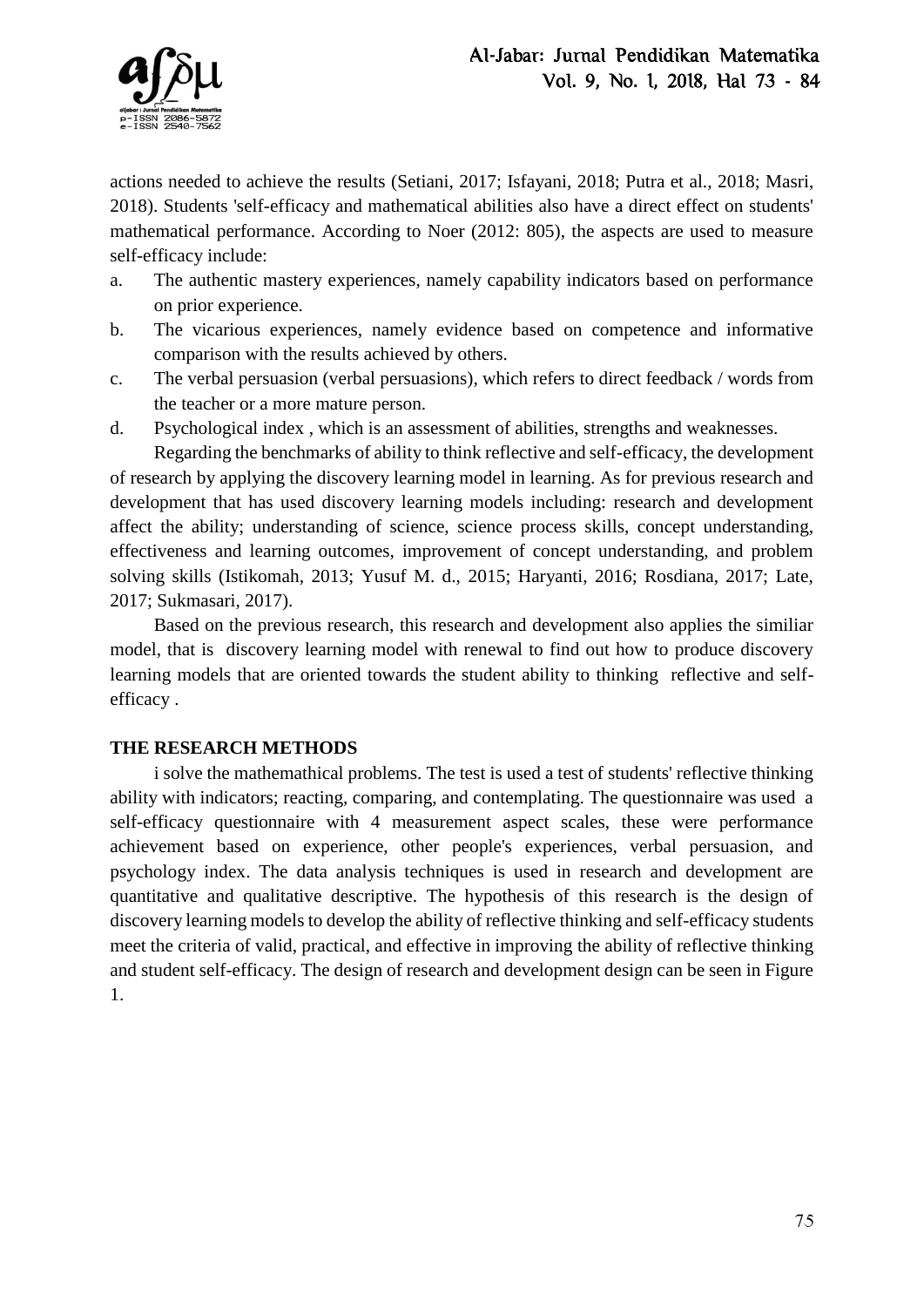

actions needed to achieve the results (Setiani, 2017; Isfayani, 2018; Putra et al., 2018; Masri, 2018). Students 'self-efficacy and mathematical abilities also have a direct effect on students' mathematical performance. According to Noer (2012: 805), the aspects are used to measure self-efficacy include:

- a. The authentic mastery experiences, namely capability indicators based on performance on prior experience.
- b. The vicarious experiences, namely evidence based on competence and informative comparison with the results achieved by others.
- c. The verbal persuasion (verbal persuasions), which refers to direct feedback / words from the teacher or a more mature person.
- d. Psychological index , which is an assessment of abilities, strengths and weaknesses.

Regarding the benchmarks of ability to think reflective and self-efficacy, the development of research by applying the discovery learning model in learning. As for previous research and development that has used discovery learning models including: research and development affect the ability; understanding of science, science process skills, concept understanding, effectiveness and learning outcomes, improvement of concept understanding, and problem solving skills (Istikomah, 2013; Yusuf M. d., 2015; Haryanti, 2016; Rosdiana, 2017; Late, 2017; Sukmasari, 2017).

Based on the previous research, this research and development also applies the similiar model, that is discovery learning model with renewal to find out how to produce discovery learning models that are oriented towards the student ability to thinking reflective and selfefficacy .

# **THE RESEARCH METHODS**

i solve the mathemathical problems. The test is used a test of students' reflective thinking ability with indicators; reacting, comparing, and contemplating. The questionnaire was used a self-efficacy questionnaire with 4 measurement aspect scales, these were performance achievement based on experience, other people's experiences, verbal persuasion, and psychology index. The data analysis techniques is used in research and development are quantitative and qualitative descriptive. The hypothesis of this research is the design of discovery learning models to develop the ability of reflective thinking and self-efficacy students meet the criteria of valid, practical, and effective in improving the ability of reflective thinking and student self-efficacy. The design of research and development design can be seen in Figure 1.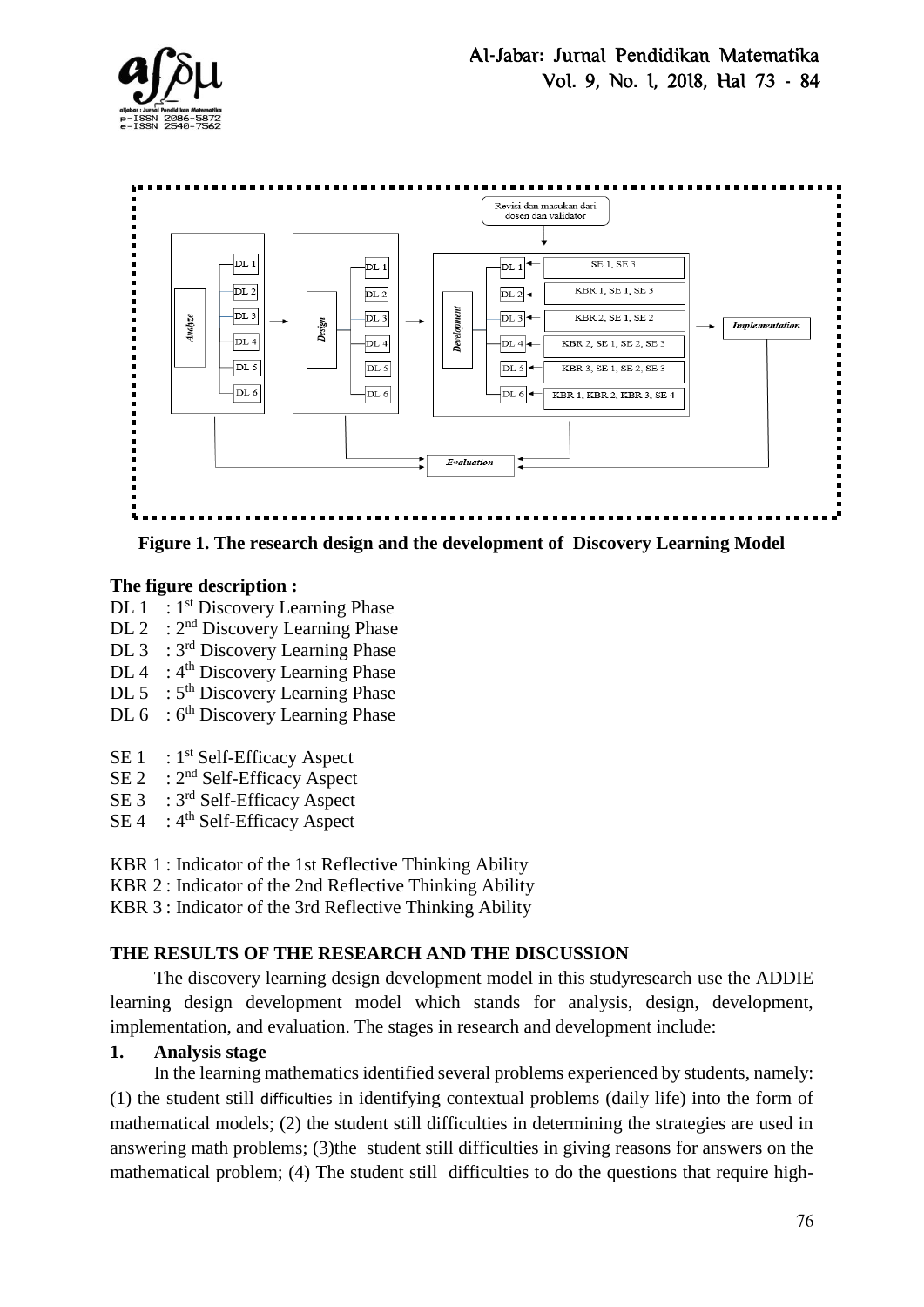



**Figure 1. The research design and the development of Discovery Learning Model**

# **The figure description :**

- DL  $1 : 1<sup>st</sup>$  Discovery Learning Phase
- DL 2 :  $2<sup>nd</sup>$  Discovery Learning Phase
- DL 3 : 3<sup>rd</sup> Discovery Learning Phase
- $DL 4$ :  $4<sup>th</sup>$  Discovery Learning Phase
- $DL 5$ :  $5<sup>th</sup>$  Discovery Learning Phase
- $DL 6 : 6<sup>th</sup> Discovery Learning Phase$
- SE  $1 : 1<sup>st</sup>$  Self-Efficacy Aspect
- $SE 2 : 2<sup>nd</sup> Self-Efficacy Aspect$
- SE 3 : 3<sup>rd</sup> Self-Efficacy Aspect
- SE 4 : 4<sup>th</sup> Self-Efficacy Aspect
- KBR 1 : Indicator of the 1st Reflective Thinking Ability
- KBR 2 : Indicator of the 2nd Reflective Thinking Ability
- KBR 3 : Indicator of the 3rd Reflective Thinking Ability

# **THE RESULTS OF THE RESEARCH AND THE DISCUSSION**

The discovery learning design development model in this studyresearch use the ADDIE learning design development model which stands for analysis, design, development, implementation, and evaluation. The stages in research and development include:

# **1. Analysis stage**

In the learning mathematics identified several problems experienced by students, namely: (1) the student still difficulties in identifying contextual problems (daily life) into the form of mathematical models; (2) the student still difficulties in determining the strategies are used in answering math problems; (3)the student still difficulties in giving reasons for answers on the mathematical problem; (4) The student still difficulties to do the questions that require high-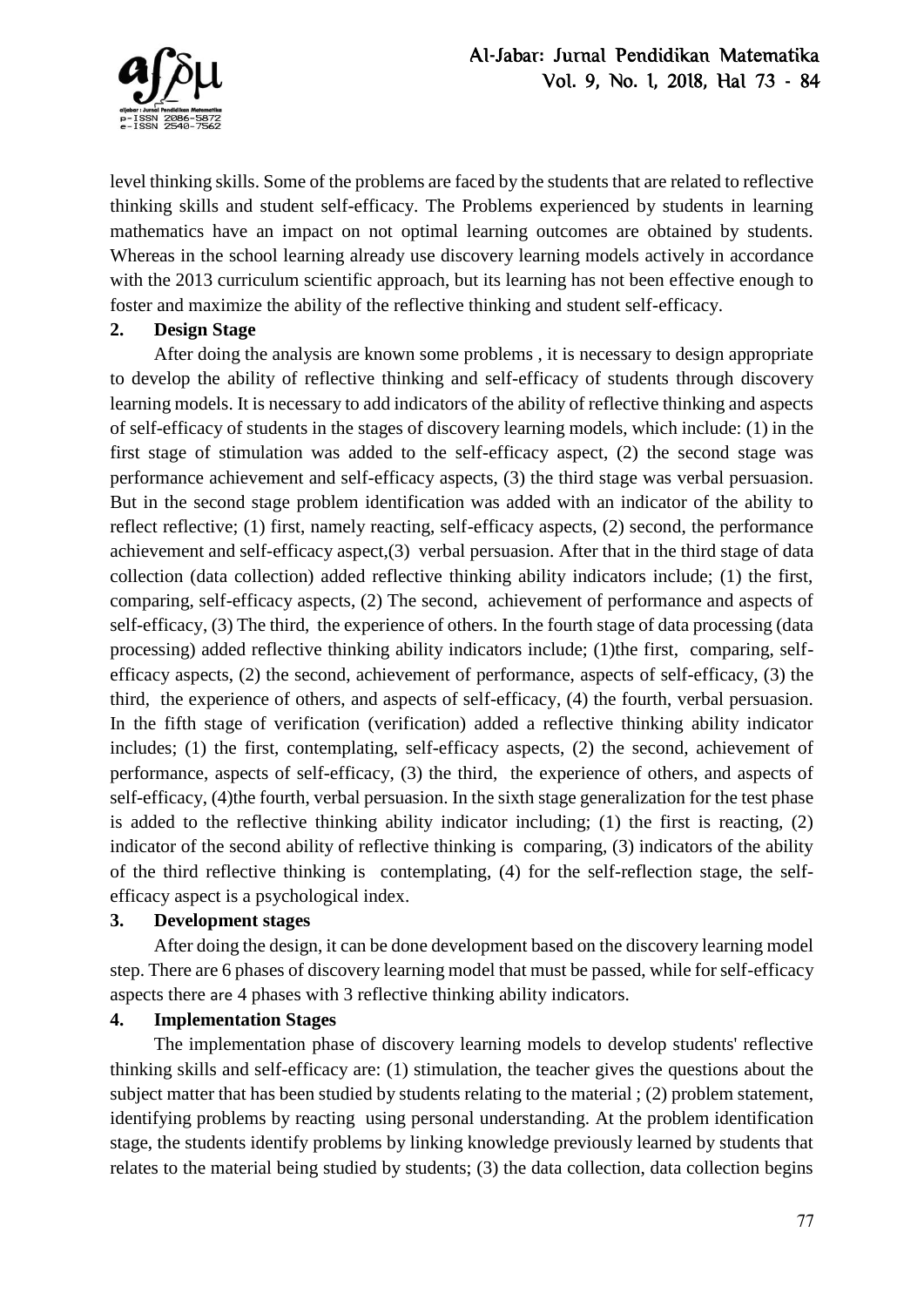

level thinking skills. Some of the problems are faced by the students that are related to reflective thinking skills and student self-efficacy. The Problems experienced by students in learning mathematics have an impact on not optimal learning outcomes are obtained by students. Whereas in the school learning already use discovery learning models actively in accordance with the 2013 curriculum scientific approach, but its learning has not been effective enough to foster and maximize the ability of the reflective thinking and student self-efficacy.

# **2. Design Stage**

After doing the analysis are known some problems , it is necessary to design appropriate to develop the ability of reflective thinking and self-efficacy of students through discovery learning models. It is necessary to add indicators of the ability of reflective thinking and aspects of self-efficacy of students in the stages of discovery learning models, which include: (1) in the first stage of stimulation was added to the self-efficacy aspect, (2) the second stage was performance achievement and self-efficacy aspects, (3) the third stage was verbal persuasion. But in the second stage problem identification was added with an indicator of the ability to reflect reflective; (1) first, namely reacting, self-efficacy aspects, (2) second, the performance achievement and self-efficacy aspect,(3) verbal persuasion. After that in the third stage of data collection (data collection) added reflective thinking ability indicators include; (1) the first, comparing, self-efficacy aspects, (2) The second, achievement of performance and aspects of self-efficacy, (3) The third, the experience of others. In the fourth stage of data processing (data processing) added reflective thinking ability indicators include; (1)the first, comparing, selfefficacy aspects, (2) the second, achievement of performance, aspects of self-efficacy, (3) the third, the experience of others, and aspects of self-efficacy, (4) the fourth, verbal persuasion. In the fifth stage of verification (verification) added a reflective thinking ability indicator includes; (1) the first, contemplating, self-efficacy aspects, (2) the second, achievement of performance, aspects of self-efficacy, (3) the third, the experience of others, and aspects of self-efficacy, (4)the fourth, verbal persuasion. In the sixth stage generalization for the test phase is added to the reflective thinking ability indicator including;  $(1)$  the first is reacting,  $(2)$ indicator of the second ability of reflective thinking is comparing, (3) indicators of the ability of the third reflective thinking is contemplating, (4) for the self-reflection stage, the selfefficacy aspect is a psychological index.

# **3. Development stages**

After doing the design, it can be done development based on the discovery learning model step. There are 6 phases of discovery learning model that must be passed, while for self-efficacy aspects there are 4 phases with 3 reflective thinking ability indicators.

# **4. Implementation Stages**

The implementation phase of discovery learning models to develop students' reflective thinking skills and self-efficacy are: (1) stimulation, the teacher gives the questions about the subject matter that has been studied by students relating to the material ; (2) problem statement, identifying problems by reacting using personal understanding. At the problem identification stage, the students identify problems by linking knowledge previously learned by students that relates to the material being studied by students; (3) the data collection, data collection begins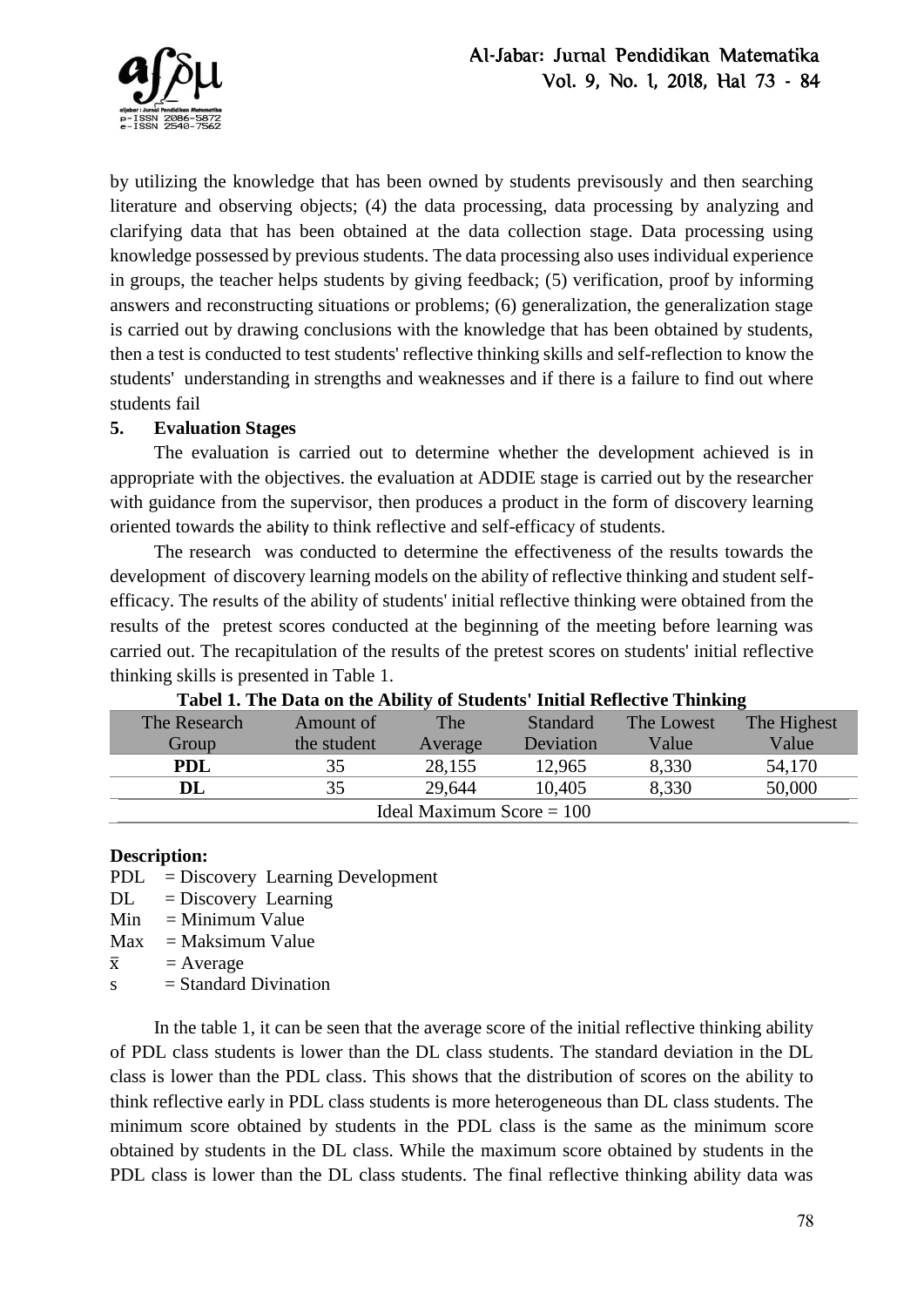

by utilizing the knowledge that has been owned by students previsously and then searching literature and observing objects; (4) the data processing, data processing by analyzing and clarifying data that has been obtained at the data collection stage. Data processing using knowledge possessed by previous students. The data processing also uses individual experience in groups, the teacher helps students by giving feedback; (5) verification, proof by informing answers and reconstructing situations or problems; (6) generalization, the generalization stage is carried out by drawing conclusions with the knowledge that has been obtained by students, then a test is conducted to test students' reflective thinking skills and self-reflection to know the students' understanding in strengths and weaknesses and if there is a failure to find out where students fail

# **5. Evaluation Stages**

The evaluation is carried out to determine whether the development achieved is in appropriate with the objectives. the evaluation at ADDIE stage is carried out by the researcher with guidance from the supervisor, then produces a product in the form of discovery learning oriented towards the ability to think reflective and self-efficacy of students.

The research was conducted to determine the effectiveness of the results towards the development of discovery learning models on the ability of reflective thinking and student selfefficacy. The results of the ability of students' initial reflective thinking were obtained from the results of the pretest scores conducted at the beginning of the meeting before learning was carried out. The recapitulation of the results of the pretest scores on students' initial reflective thinking skills is presented in Table 1.

| Tabel 1: The Data on the Ability of Diagents' Initial Kenecuve Thinking |             |         |           |            |             |  |  |  |  |
|-------------------------------------------------------------------------|-------------|---------|-----------|------------|-------------|--|--|--|--|
| The Research                                                            | Amount of   | The     | Standard  | The Lowest | The Highest |  |  |  |  |
| Group                                                                   | the student | Average | Deviation | Value      | Value       |  |  |  |  |
| <b>PDL</b>                                                              | 35          | 28,155  | 12,965    | 8,330      | 54,170      |  |  |  |  |
| DL                                                                      | 35          | 29,644  | 10,405    | 8,330      | 50,000      |  |  |  |  |
| Ideal Maximum Score $= 100$                                             |             |         |           |            |             |  |  |  |  |

**Tabel 1. The Data on the Ability of Students' Initial Reflective Thinking**

#### **Description:**

- PDL = Discovery Learning Development
- $DL = Discovery$  Learning
- $Min = Minimum Value$
- $Max = Maksimum Value$
- $\bar{x}$  = Average
- $s = Standard Divination$

In the table 1, it can be seen that the average score of the initial reflective thinking ability of PDL class students is lower than the DL class students. The standard deviation in the DL class is lower than the PDL class. This shows that the distribution of scores on the ability to think reflective early in PDL class students is more heterogeneous than DL class students. The minimum score obtained by students in the PDL class is the same as the minimum score obtained by students in the DL class. While the maximum score obtained by students in the PDL class is lower than the DL class students. The final reflective thinking ability data was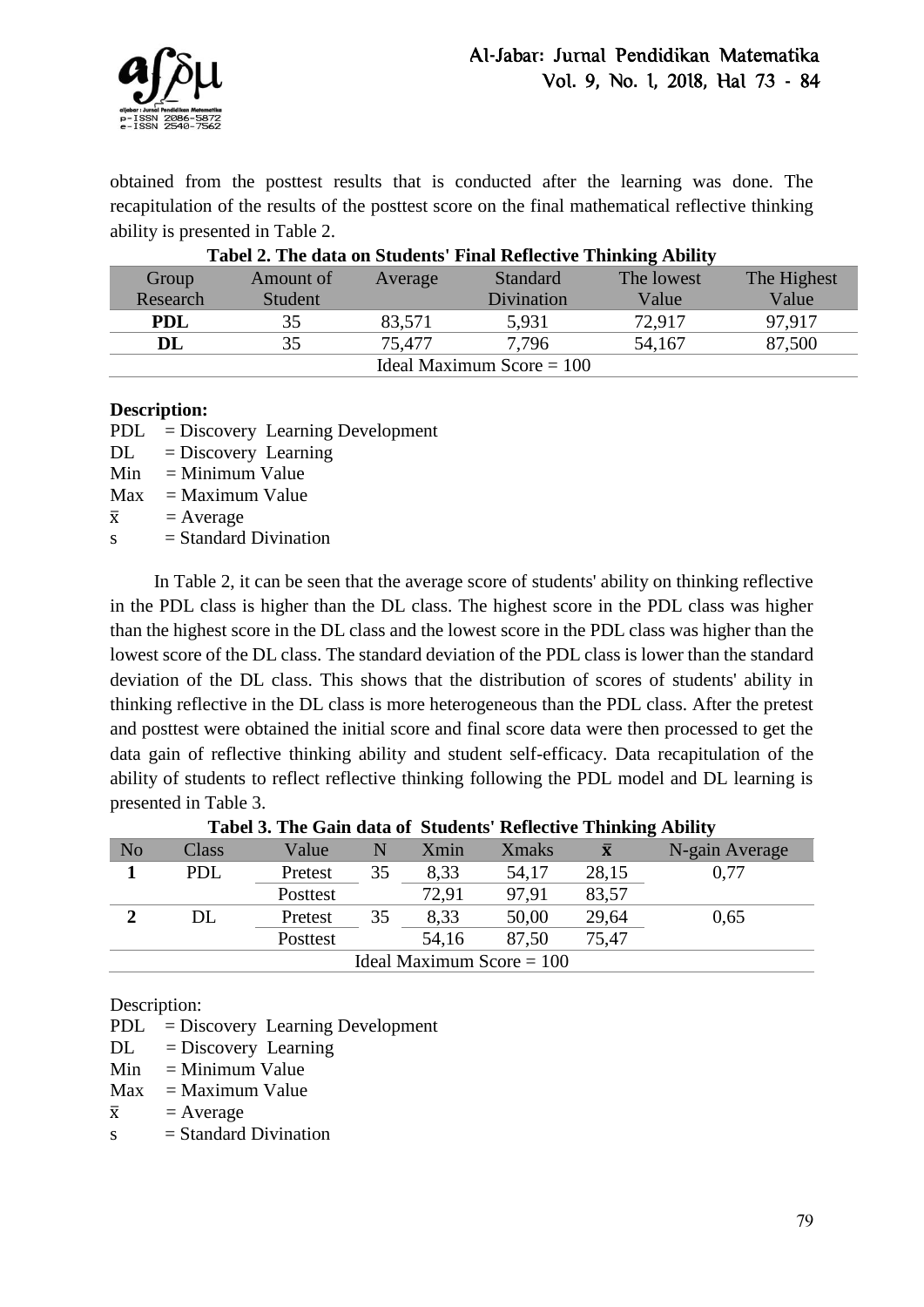

obtained from the posttest results that is conducted after the learning was done. The recapitulation of the results of the posttest score on the final mathematical reflective thinking ability is presented in Table 2.

| Tabel 2. The data on Students' Final Reflective Thinking Ability |           |         |                 |            |             |  |  |
|------------------------------------------------------------------|-----------|---------|-----------------|------------|-------------|--|--|
| Group                                                            | Amount of | Average | <b>Standard</b> | The lowest | The Highest |  |  |
| Research                                                         | Student   |         | Divination      | Value      | Value       |  |  |
| <b>PDL</b>                                                       | 35        | 83,571  | 5,931           | 72.917     | 97.917      |  |  |
| DL                                                               | 35        | 75.477  | 7,796           | 54,167     | 87,500      |  |  |
| Ideal Maximum Score $= 100$                                      |           |         |                 |            |             |  |  |

# **Tabel 2. The data on Students' Final Reflective Thinking Ability**

#### **Description:**

- PDL = Discovery Learning Development
- $DL = Discovery$  Learning
- $Min = Minimum Value$
- $Max = Maximum Value$
- $\bar{x}$  = Average
- $s = Standard Divination$

In Table 2, it can be seen that the average score of students' ability on thinking reflective in the PDL class is higher than the DL class. The highest score in the PDL class was higher than the highest score in the DL class and the lowest score in the PDL class was higher than the lowest score of the DL class. The standard deviation of the PDL class is lower than the standard deviation of the DL class. This shows that the distribution of scores of students' ability in thinking reflective in the DL class is more heterogeneous than the PDL class. After the pretest and posttest were obtained the initial score and final score data were then processed to get the data gain of reflective thinking ability and student self-efficacy. Data recapitulation of the ability of students to reflect reflective thinking following the PDL model and DL learning is presented in Table 3.

| N <sub>o</sub>              | Class | Value    |    | Xmin  | <b>Xmaks</b> |       | N-gain Average |
|-----------------------------|-------|----------|----|-------|--------------|-------|----------------|
|                             | PDL   | Pretest  | 35 | 8,33  | 54,17        | 28,15 | 0,77           |
|                             |       | Posttest |    | 72,91 | 97,91        | 83,57 |                |
|                             | ЭL    | Pretest  | 35 | 8,33  | 50,00        | 29,64 | 0,65           |
|                             |       | Posttest |    | 54,16 | 87,50        | 75.47 |                |
| Ideal Maximum Score $= 100$ |       |          |    |       |              |       |                |

**Tabel 3. The Gain data of Students' Reflective Thinking Ability**

Description:

PDL = Discovery Learning Development

- $DL = Discovery$  Learning
- $Min = Minimum Value$
- $Max = Maximum Value$
- $\bar{x}$  = Average
- $s = Standard Divination$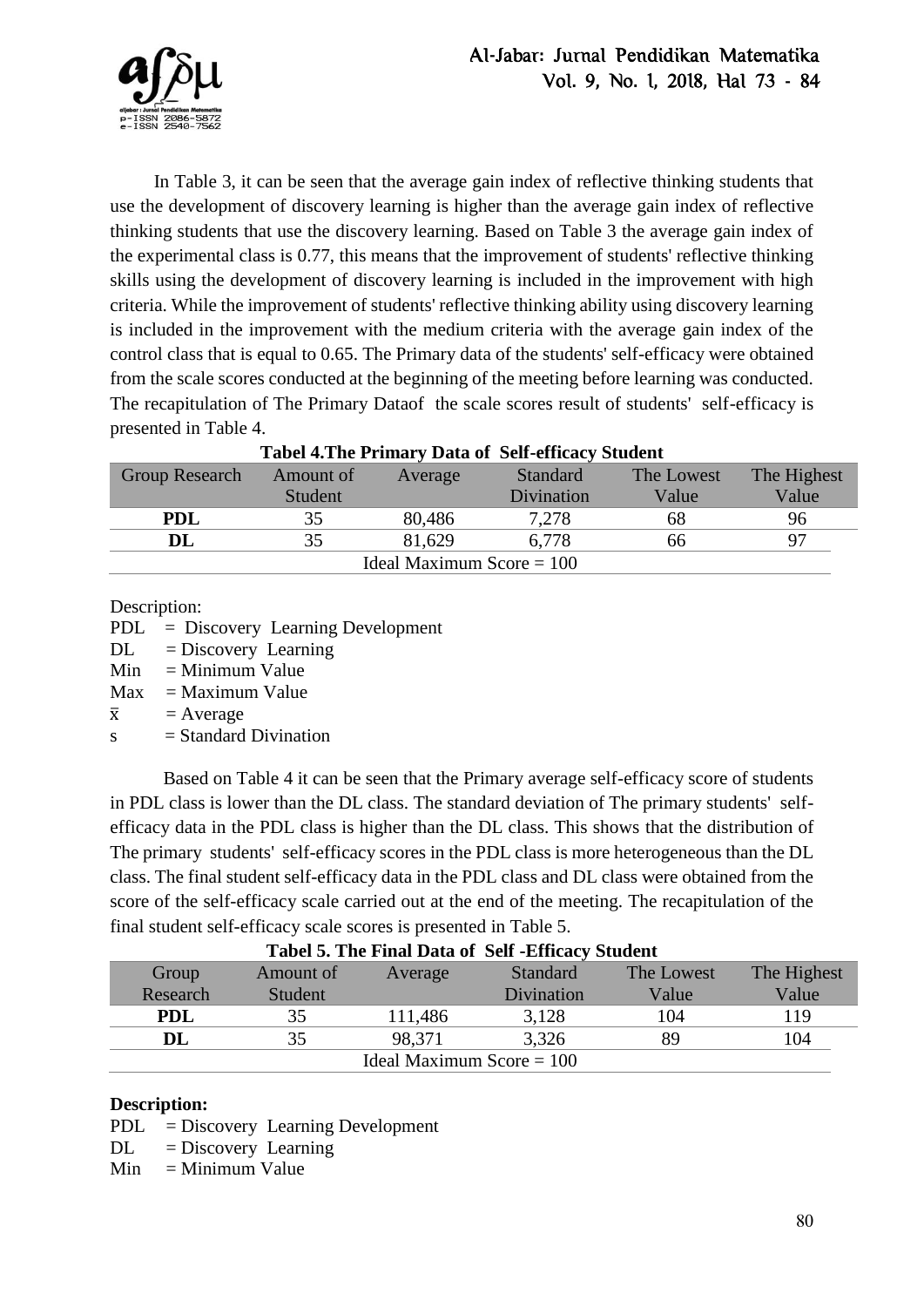

In Table 3, it can be seen that the average gain index of reflective thinking students that use the development of discovery learning is higher than the average gain index of reflective thinking students that use the discovery learning. Based on Table 3 the average gain index of the experimental class is 0.77, this means that the improvement of students' reflective thinking skills using the development of discovery learning is included in the improvement with high criteria. While the improvement of students' reflective thinking ability using discovery learning is included in the improvement with the medium criteria with the average gain index of the control class that is equal to 0.65. The Primary data of the students' self-efficacy were obtained from the scale scores conducted at the beginning of the meeting before learning was conducted. The recapitulation of The Primary Dataof the scale scores result of students' self-efficacy is presented in Table 4.

| Tuber with Finnary Dura of Ben emergy Brudenc |           |         |                 |            |    |  |  |  |
|-----------------------------------------------|-----------|---------|-----------------|------------|----|--|--|--|
| <b>Group Research</b>                         | Amount of | Average | <b>Standard</b> | The Lowest |    |  |  |  |
|                                               | Student   |         | Divination      | Value      |    |  |  |  |
| <b>PDL</b>                                    | 35        | 80,486  | 7.278           | 68         | 96 |  |  |  |
| DL                                            | 35        | 81.629  | 6.778           | 66         |    |  |  |  |
| Ideal Maximum Score $= 100$                   |           |         |                 |            |    |  |  |  |

# **Tabel 4.The Primary Data of Self-efficacy Student**

Description:

PDL = Discovery Learning Development

 $DL = Discovery$  Learning

 $Min = Minimum Value$ 

 $Max = Maximum Value$ 

 $\bar{x}$  = Average

 $s = Standard Divination$ 

 Based on Table 4 it can be seen that the Primary average self-efficacy score of students in PDL class is lower than the DL class. The standard deviation of The primary students' selfefficacy data in the PDL class is higher than the DL class. This shows that the distribution of The primary students' self-efficacy scores in the PDL class is more heterogeneous than the DL class. The final student self-efficacy data in the PDL class and DL class were obtained from the score of the self-efficacy scale carried out at the end of the meeting. The recapitulation of the final student self-efficacy scale scores is presented in Table 5.

| Tabel 5. The Final Data of Self-Efficacy Student |           |         |                 |            |             |  |  |
|--------------------------------------------------|-----------|---------|-----------------|------------|-------------|--|--|
| Group                                            | Amount of | Average | <b>Standard</b> | The Lowest | The Highest |  |  |
| Research                                         | Student   |         | Divination      | Value      | Value       |  |  |
| PDL                                              | 35        | 111,486 | 3,128           | 104        | 119         |  |  |
| $\mathbf{DL}$                                    | 35        | 98,371  | 3,326           | 89         | 104         |  |  |
| Ideal Maximum Score $= 100$                      |           |         |                 |            |             |  |  |

# **Tabel 5. The Final Data of Self -Efficacy Student**

#### **Description:**

PDL = Discovery Learning Development

 $DL = Discovery$  Learning

 $Min = Minimum Value$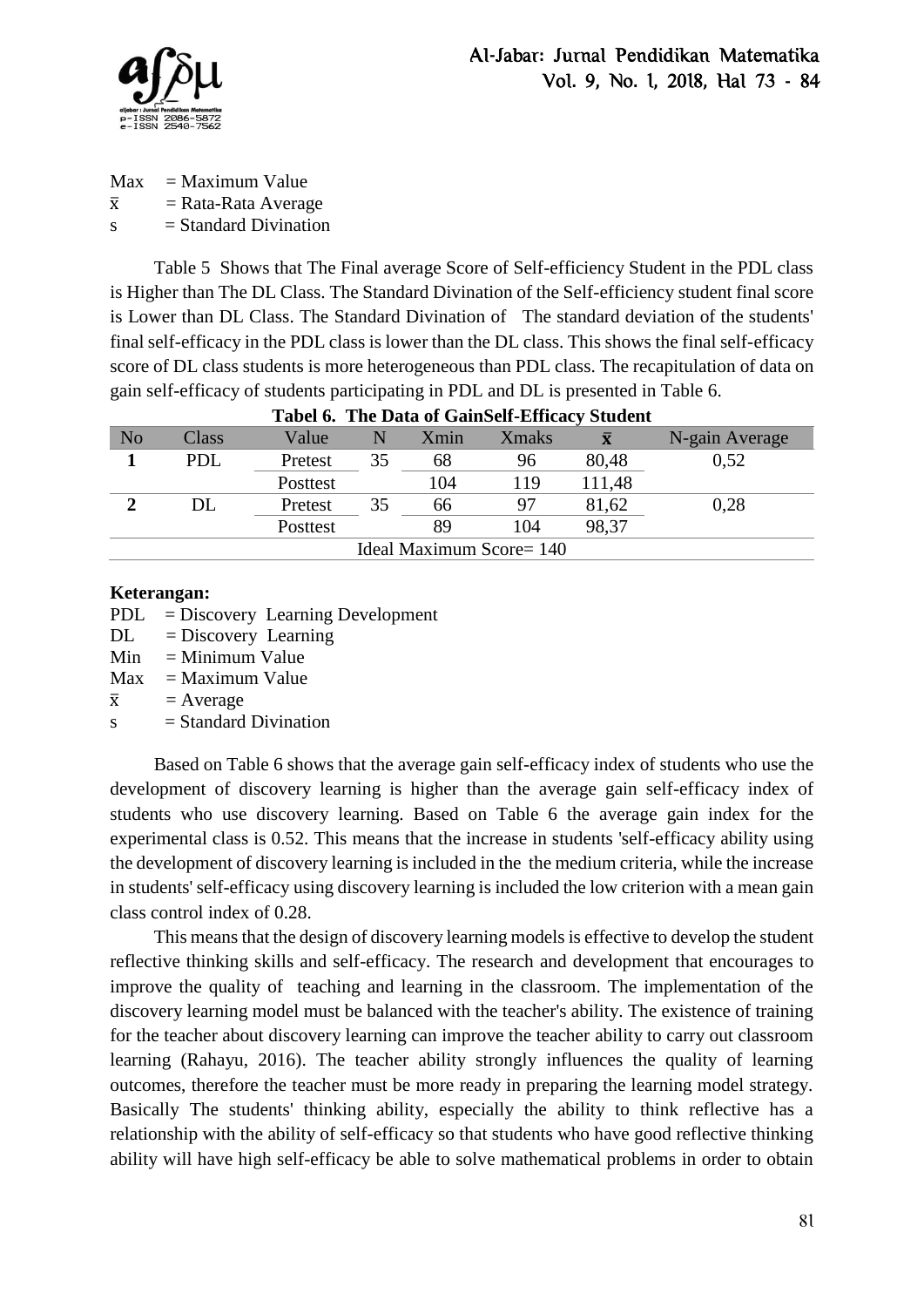

 $Max = Maximum Value$  $\bar{x}$  = Rata-Rata Average  $s = Standard Divination$ 

Table 5 Shows that The Final average Score of Self-efficiency Student in the PDL class is Higher than The DL Class. The Standard Divination of the Self-efficiency student final score is Lower than DL Class. The Standard Divination of The standard deviation of the students' final self-efficacy in the PDL class is lower than the DL class. This shows the final self-efficacy score of DL class students is more heterogeneous than PDL class. The recapitulation of data on gain self-efficacy of students participating in PDL and DL is presented in Table 6.

| <b>Tabel 0. The Data of Gamben-Emicacy Student</b> |       |          |    |      |               |        |                |  |
|----------------------------------------------------|-------|----------|----|------|---------------|--------|----------------|--|
| No                                                 | Class | Value    | N  | Xmin | <b>X</b> maks |        | N-gain Average |  |
|                                                    | PDL   | Pretest  | 35 | 68   | 96            | 80,48  | 0,52           |  |
|                                                    |       | Posttest |    | 104  | 119           | 111,48 |                |  |
|                                                    | DL    | Pretest  | 35 | 66   | 97            | 81,62  | 0,28           |  |
|                                                    |       | Posttest |    | 89   | 104           | 98,37  |                |  |
| Ideal Maximum Score= 140                           |       |          |    |      |               |        |                |  |
|                                                    |       |          |    |      |               |        |                |  |

# **Tabel 6. The Data of GainSelf-Efficacy Student**

#### **Keterangan:**

PDL = Discovery Learning Development

- DL = Discovery Learning
- $Min = Minimum Value$
- $Max = Maximum Value$

 $\bar{x}$  = Average

 $s = Standard Divination$ 

Based on Table 6 shows that the average gain self-efficacy index of students who use the development of discovery learning is higher than the average gain self-efficacy index of students who use discovery learning. Based on Table 6 the average gain index for the experimental class is 0.52. This means that the increase in students 'self-efficacy ability using the development of discovery learning is included in the the medium criteria, while the increase in students' self-efficacy using discovery learning is included the low criterion with a mean gain class control index of 0.28.

This means that the design of discovery learning models is effective to develop the student reflective thinking skills and self-efficacy. The research and development that encourages to improve the quality of teaching and learning in the classroom. The implementation of the discovery learning model must be balanced with the teacher's ability. The existence of training for the teacher about discovery learning can improve the teacher ability to carry out classroom learning (Rahayu, 2016). The teacher ability strongly influences the quality of learning outcomes, therefore the teacher must be more ready in preparing the learning model strategy. Basically The students' thinking ability, especially the ability to think reflective has a relationship with the ability of self-efficacy so that students who have good reflective thinking ability will have high self-efficacy be able to solve mathematical problems in order to obtain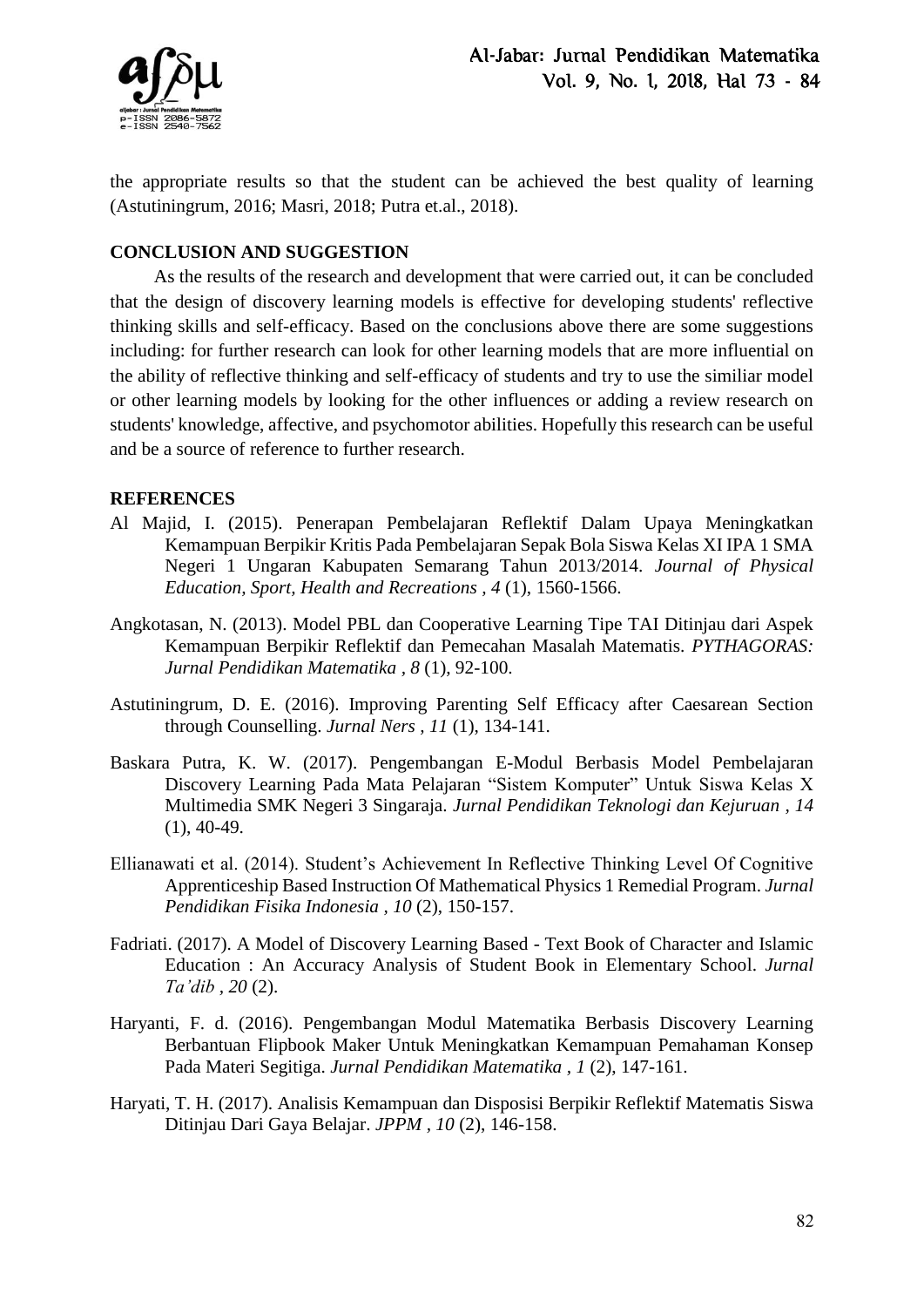

the appropriate results so that the student can be achieved the best quality of learning (Astutiningrum, 2016; Masri, 2018; Putra et.al., 2018).

# **CONCLUSION AND SUGGESTION**

As the results of the research and development that were carried out, it can be concluded that the design of discovery learning models is effective for developing students' reflective thinking skills and self-efficacy. Based on the conclusions above there are some suggestions including: for further research can look for other learning models that are more influential on the ability of reflective thinking and self-efficacy of students and try to use the similiar model or other learning models by looking for the other influences or adding a review research on students' knowledge, affective, and psychomotor abilities. Hopefully this research can be useful and be a source of reference to further research.

### **REFERENCES**

- Al Majid, I. (2015). Penerapan Pembelajaran Reflektif Dalam Upaya Meningkatkan Kemampuan Berpikir Kritis Pada Pembelajaran Sepak Bola Siswa Kelas XI IPA 1 SMA Negeri 1 Ungaran Kabupaten Semarang Tahun 2013/2014. *Journal of Physical Education, Sport, Health and Recreations , 4* (1), 1560-1566.
- Angkotasan, N. (2013). Model PBL dan Cooperative Learning Tipe TAI Ditinjau dari Aspek Kemampuan Berpikir Reflektif dan Pemecahan Masalah Matematis. *PYTHAGORAS: Jurnal Pendidikan Matematika , 8* (1), 92-100.
- Astutiningrum, D. E. (2016). Improving Parenting Self Efficacy after Caesarean Section through Counselling. *Jurnal Ners , 11* (1), 134-141.
- Baskara Putra, K. W. (2017). Pengembangan E-Modul Berbasis Model Pembelajaran Discovery Learning Pada Mata Pelajaran "Sistem Komputer" Untuk Siswa Kelas X Multimedia SMK Negeri 3 Singaraja. *Jurnal Pendidikan Teknologi dan Kejuruan , 14*  $(1), 40-49.$
- Ellianawati et al. (2014). Student's Achievement In Reflective Thinking Level Of Cognitive Apprenticeship Based Instruction Of Mathematical Physics 1 Remedial Program. *Jurnal Pendidikan Fisika Indonesia , 10* (2), 150-157.
- Fadriati. (2017). A Model of Discovery Learning Based Text Book of Character and Islamic Education : An Accuracy Analysis of Student Book in Elementary School. *Jurnal Ta'dib , 20* (2).
- Haryanti, F. d. (2016). Pengembangan Modul Matematika Berbasis Discovery Learning Berbantuan Flipbook Maker Untuk Meningkatkan Kemampuan Pemahaman Konsep Pada Materi Segitiga. *Jurnal Pendidikan Matematika , 1* (2), 147-161.
- Haryati, T. H. (2017). Analisis Kemampuan dan Disposisi Berpikir Reflektif Matematis Siswa Ditinjau Dari Gaya Belajar. *JPPM , 10* (2), 146-158.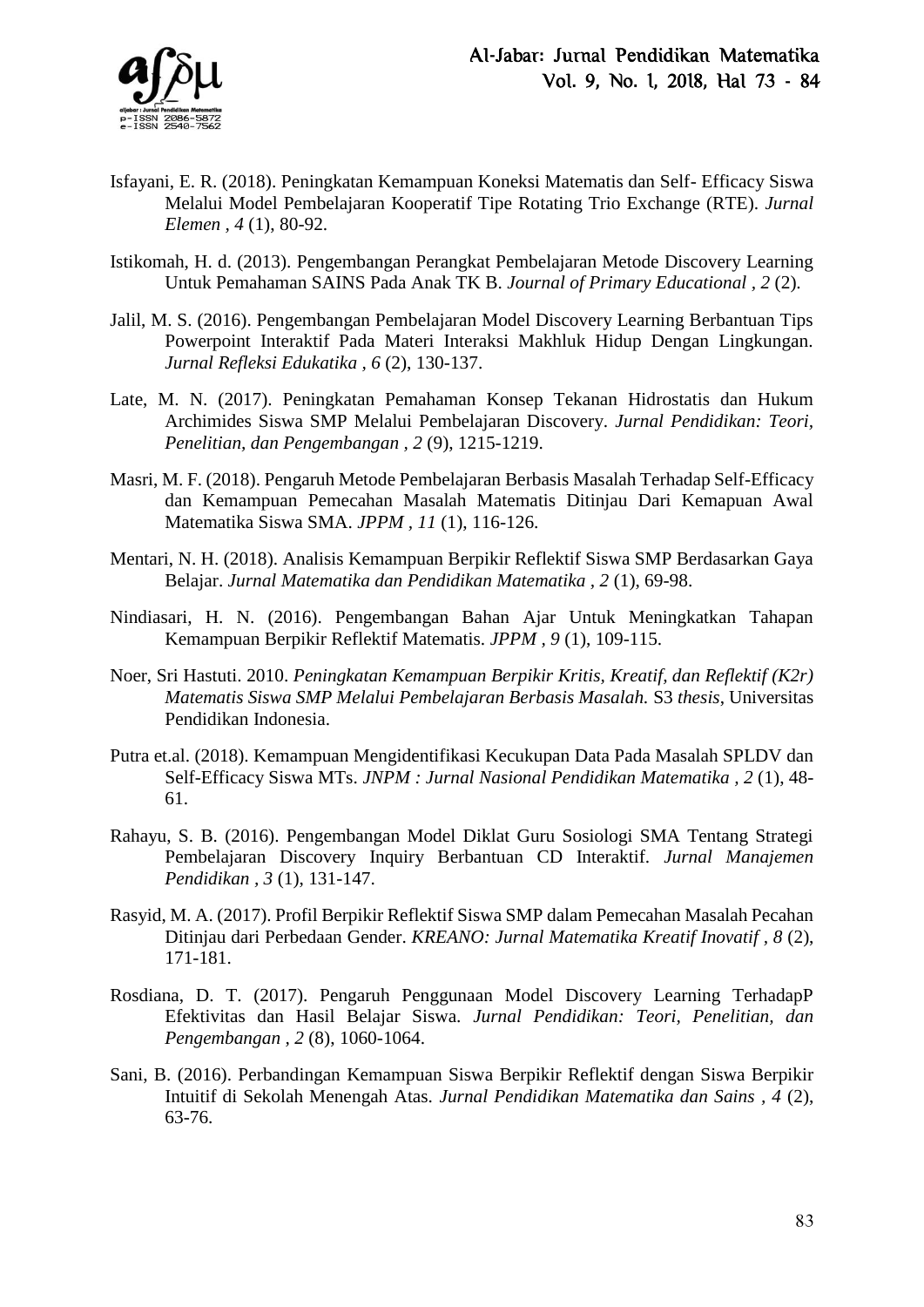

- Isfayani, E. R. (2018). Peningkatan Kemampuan Koneksi Matematis dan Self- Efficacy Siswa Melalui Model Pembelajaran Kooperatif Tipe Rotating Trio Exchange (RTE). *Jurnal Elemen , 4* (1), 80-92.
- Istikomah, H. d. (2013). Pengembangan Perangkat Pembelajaran Metode Discovery Learning Untuk Pemahaman SAINS Pada Anak TK B. *Journal of Primary Educational , 2* (2).
- Jalil, M. S. (2016). Pengembangan Pembelajaran Model Discovery Learning Berbantuan Tips Powerpoint Interaktif Pada Materi Interaksi Makhluk Hidup Dengan Lingkungan. *Jurnal Refleksi Edukatika , 6* (2), 130-137.
- Late, M. N. (2017). Peningkatan Pemahaman Konsep Tekanan Hidrostatis dan Hukum Archimides Siswa SMP Melalui Pembelajaran Discovery. *Jurnal Pendidikan: Teori, Penelitian, dan Pengembangan , 2* (9), 1215-1219.
- Masri, M. F. (2018). Pengaruh Metode Pembelajaran Berbasis Masalah Terhadap Self-Efficacy dan Kemampuan Pemecahan Masalah Matematis Ditinjau Dari Kemapuan Awal Matematika Siswa SMA. *JPPM , 11* (1), 116-126.
- Mentari, N. H. (2018). Analisis Kemampuan Berpikir Reflektif Siswa SMP Berdasarkan Gaya Belajar. *Jurnal Matematika dan Pendidikan Matematika , 2* (1), 69-98.
- Nindiasari, H. N. (2016). Pengembangan Bahan Ajar Untuk Meningkatkan Tahapan Kemampuan Berpikir Reflektif Matematis. *JPPM , 9* (1), 109-115.
- Noer, Sri Hastuti. 2010. *[Peningkatan Kemampuan Berpikir Kritis, Kreatif, dan Reflektif \(K2r\)](http://repository.upi.edu/8502/)  [Matematis Siswa SMP Melalui Pembelajaran Berbasis Masalah.](http://repository.upi.edu/8502/)* S3 *thesis*, Universitas Pendidikan Indonesia.
- Putra et.al. (2018). Kemampuan Mengidentifikasi Kecukupan Data Pada Masalah SPLDV dan Self-Efficacy Siswa MTs. *JNPM : Jurnal Nasional Pendidikan Matematika , 2* (1), 48- 61.
- Rahayu, S. B. (2016). Pengembangan Model Diklat Guru Sosiologi SMA Tentang Strategi Pembelajaran Discovery Inquiry Berbantuan CD Interaktif. *Jurnal Manajemen Pendidikan , 3* (1), 131-147.
- Rasyid, M. A. (2017). Profil Berpikir Reflektif Siswa SMP dalam Pemecahan Masalah Pecahan Ditinjau dari Perbedaan Gender. *KREANO: Jurnal Matematika Kreatif Inovatif , 8* (2), 171-181.
- Rosdiana, D. T. (2017). Pengaruh Penggunaan Model Discovery Learning TerhadapP Efektivitas dan Hasil Belajar Siswa. *Jurnal Pendidikan: Teori, Penelitian, dan Pengembangan , 2* (8), 1060-1064.
- Sani, B. (2016). Perbandingan Kemampuan Siswa Berpikir Reflektif dengan Siswa Berpikir Intuitif di Sekolah Menengah Atas. *Jurnal Pendidikan Matematika dan Sains , 4* (2), 63-76.